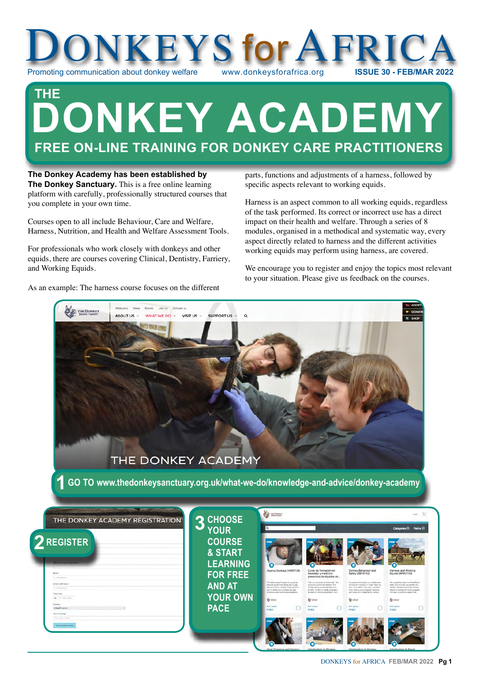

# **DONKEY ACADEMY FREE ON-LINE TRAINING FOR DONKEY CARE PRACTITIONERS THE**

**The Donkey Academy has been established by The Donkey Sanctuary.** This is a free online learning platform with carefully, professionally structured courses that you complete in your own time.

Courses open to all include Behaviour, Care and Welfare, Harness, Nutrition, and Health and Welfare Assessment Tools.

For professionals who work closely with donkeys and other equids, there are courses covering Clinical, Dentistry, Farriery, and Working Equids.

As an example: The harness course focuses on the different

parts, functions and adjustments of a harness, followed by specific aspects relevant to working equids.

Harness is an aspect common to all working equids, regardless of the task performed. Its correct or incorrect use has a direct impact on their health and welfare. Through a series of 8 modules, organised in a methodical and systematic way, every aspect directly related to harness and the different activities working equids may perform using harness, are covered.

We encourage you to register and enjoy the topics most relevant to your situation. Please give us feedback on the courses.

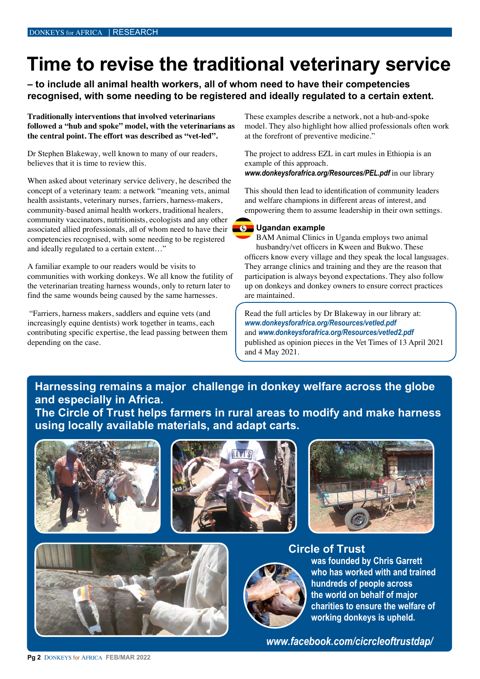# **Time to revise the traditional veterinary service**

**– to include all animal health workers, all of whom need to have their competencies recognised, with some needing to be registered and ideally regulated to a certain extent.**

**Traditionally interventions that involved veterinarians followed a "hub and spoke" model, with the veterinarians as the central point. The effort was described as "vet-led".**

Dr Stephen Blakeway, well known to many of our readers, believes that it is time to review this.

When asked about veterinary service delivery, he described the concept of a veterinary team: a network "meaning vets, animal health assistants, veterinary nurses, farriers, harness-makers, community-based animal health workers, traditional healers, community vaccinators, nutritionists, ecologists and any other associated allied professionals, all of whom need to have their competencies recognised, with some needing to be registered and ideally regulated to a certain extent…"

A familiar example to our readers would be visits to communities with working donkeys. We all know the futility of the veterinarian treating harness wounds, only to return later to find the same wounds being caused by the same harnesses.

 "Farriers, harness makers, saddlers and equine vets (and increasingly equine dentists) work together in teams, each contributing specific expertise, the lead passing between them depending on the case.

These examples describe a network, not a hub-and-spoke model. They also highlight how allied professionals often work at the forefront of preventive medicine."

The project to address EZL in cart mules in Ethiopia is an example of this approach.

*[www.donkeysforafrica.org/Resources/PEL.pdf](http://www.donkeysforafrica.org/Resources/PEL.pdf)* in our library

This should then lead to identification of community leaders and welfare champions in different areas of interest, and empowering them to assume leadership in their own settings.

### **6** Ugandan example

BAM Animal Clinics in Uganda employs two animal husbandry/vet officers in Kween and Bukwo. These officers know every village and they speak the local languages. They arrange clinics and training and they are the reason that participation is always beyond expectations. They also follow up on donkeys and donkey owners to ensure correct practices are maintained.

Read the full articles by Dr Blakeway in our library at: *www.donkeysforafrica.org/Resources/vetled.pdf*  and *www.donkeysforafrica.org/Resources/vetled2.pdf*  published as opinion pieces in the Vet Times of 13 April 2021 and 4 May 2021.

## **Harnessing remains a major challenge in donkey welfare across the globe and especially in Africa.**

**The Circle of Trust helps farmers in rural areas to modify and make harness using locally available materials, and adapt carts.**











**Circle of Trust was founded by Chris Garrett who has worked with and trained hundreds of people across the world on behalf of major charities to ensure the welfare of working donkeys is upheld.**

*www.facebook.com/cicrcleoftrustdap/*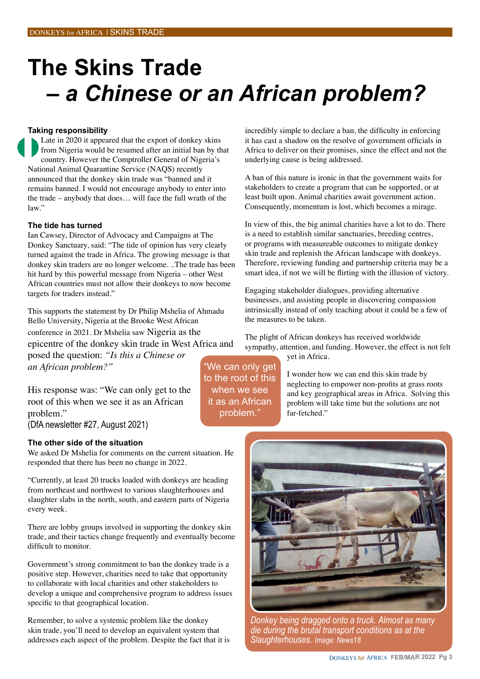# **The Skins Trade**   *– a Chinese or an African problem?*

#### **Taking responsibility**

Late in 2020 it appeared that the export of donkey skins from Nigeria would be resumed after an initial ban by that country. However the Comptroller General of Nigeria's National Animal Quarantine Service (NAQS) recently announced that the donkey skin trade was "banned and it remains banned. I would not encourage anybody to enter into the trade – anybody that does… will face the full wrath of the  $law$ "

#### **The tide has turned**

Ian Cawsey, Director of Advocacy and Campaigns at The Donkey Sanctuary, said: "The tide of opinion has very clearly turned against the trade in Africa. The growing message is that donkey skin traders are no longer welcome. ..The trade has been hit hard by this powerful message from Nigeria – other West African countries must not allow their donkeys to now become targets for traders instead."

This supports the statement by Dr Philip Mshelia of Ahmadu Bello University, Nigeria at the Brooke West African conference in 2021. Dr Mshelia saw Nigeria as the epicentre of the donkey skin trade in West Africa and posed the question: *"Is this a Chinese or an African problem?"* 

His response was: "We can only get to the root of this when we see it as an African problem."

(DfA newsletter #27, August 2021)

#### **The other side of the situation**

We asked Dr Mshelia for comments on the current situation. He responded that there has been no change in 2022.

"Currently, at least 20 trucks loaded with donkeys are heading from northeast and northwest to various slaughterhouses and slaughter slabs in the north, south, and eastern parts of Nigeria every week.

There are lobby groups involved in supporting the donkey skin trade, and their tactics change frequently and eventually become difficult to monitor.

Government's strong commitment to ban the donkey trade is a positive step. However, charities need to take that opportunity to collaborate with local charities and other stakeholders to develop a unique and comprehensive program to address issues specific to that geographical location.

Remember, to solve a systemic problem like the donkey skin trade, you'll need to develop an equivalent system that addresses each aspect of the problem. Despite the fact that it is incredibly simple to declare a ban, the difficulty in enforcing it has cast a shadow on the resolve of government officials in Africa to deliver on their promises, since the effect and not the underlying cause is being addressed.

A ban of this nature is ironic in that the government waits for stakeholders to create a program that can be supported, or at least built upon. Animal charities await government action. Consequently, momentum is lost, which becomes a mirage.

In view of this, the big animal charities have a lot to do. There is a need to establish similar sanctuaries, breeding centres, or programs with measureable outcomes to mitigate donkey skin trade and replenish the African landscape with donkeys. Therefore, reviewing funding and partnership criteria may be a smart idea, if not we will be flirting with the illusion of victory.

Engaging stakeholder dialogues, providing alternative businesses, and assisting people in discovering compassion intrinsically instead of only teaching about it could be a few of the measures to be taken.

The plight of African donkeys has received worldwide sympathy, attention, and funding. However, the effect is not felt yet in Africa.

> I wonder how we can end this skin trade by neglecting to empower non-profits at grass roots and key geographical areas in Africa. Solving this problem will take time but the solutions are not far-fetched."



*Donkey being dragged onto a truck. Almost as many die during the brutal transport conditions as at the Slaughterhouses. Image: News18*

"We can only get to the root of this when we see it as an African problem."